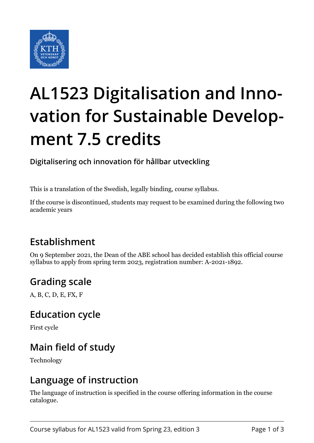

# **AL1523 Digitalisation and Innovation for Sustainable Development 7.5 credits**

**Digitalisering och innovation för hållbar utveckling**

This is a translation of the Swedish, legally binding, course syllabus.

If the course is discontinued, students may request to be examined during the following two academic years

# **Establishment**

On 9 September 2021, the Dean of the ABE school has decided establish this official course syllabus to apply from spring term 2023, registration number: A-2021-1892.

## **Grading scale**

A, B, C, D, E, FX, F

#### **Education cycle**

First cycle

## **Main field of study**

Technology

## **Language of instruction**

The language of instruction is specified in the course offering information in the course catalogue.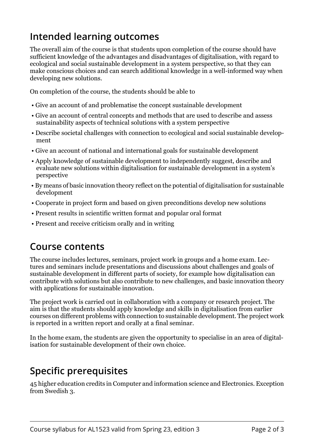# **Intended learning outcomes**

The overall aim of the course is that students upon completion of the course should have sufficient knowledge of the advantages and disadvantages of digitalisation, with regard to ecological and social sustainable development in a system perspective, so that they can make conscious choices and can search additional knowledge in a well-informed way when developing new solutions.

On completion of the course, the students should be able to

- Give an account of and problematise the concept sustainable development
- Give an account of central concepts and methods that are used to describe and assess sustainability aspects of technical solutions with a system perspective
- Describe societal challenges with connection to ecological and social sustainable development
- Give an account of national and international goals for sustainable development
- Apply knowledge of sustainable development to independently suggest, describe and evaluate new solutions within digitalisation for sustainable development in a system's perspective
- By means of basic innovation theory reflect on the potential of digitalisation for sustainable development
- Cooperate in project form and based on given preconditions develop new solutions
- Present results in scientific written format and popular oral format
- Present and receive criticism orally and in writing

## **Course contents**

The course includes lectures, seminars, project work in groups and a home exam. Lectures and seminars include presentations and discussions about challenges and goals of sustainable development in different parts of society, for example how digitalisation can contribute with solutions but also contribute to new challenges, and basic innovation theory with applications for sustainable innovation.

The project work is carried out in collaboration with a company or research project. The aim is that the students should apply knowledge and skills in digitalisation from earlier courses on different problems with connection to sustainable development. The project work is reported in a written report and orally at a final seminar.

In the home exam, the students are given the opportunity to specialise in an area of digitalisation for sustainable development of their own choice.

# **Specific prerequisites**

45 higher education credits in Computer and information science and Electronics. Exception from Swedish 3.